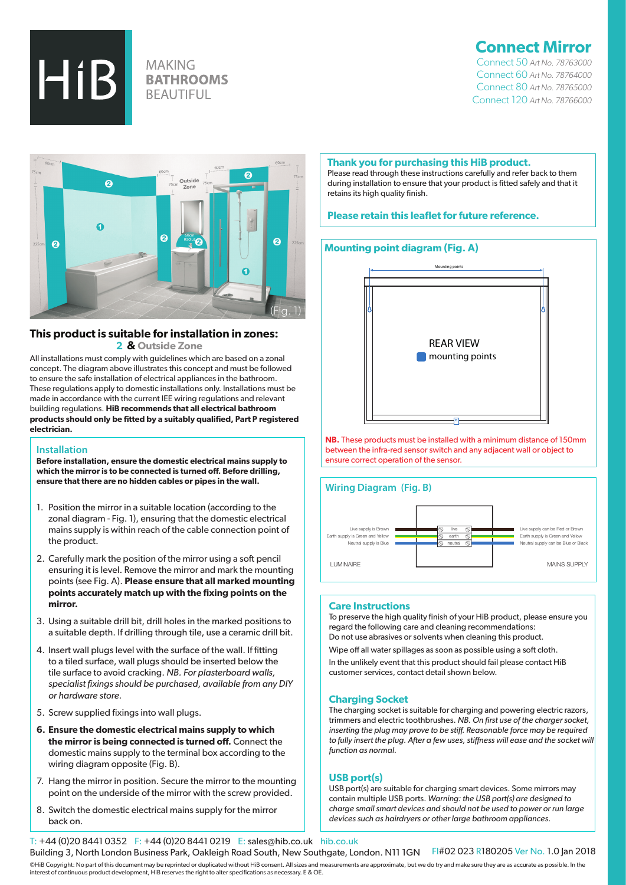

# **MAKING BATHROOMS BEAUTIFUL**

# **Connect Mirror**

 Connect 50 *Art No. 78763000* Connect 60 *Art No. 78764000*  Connect 80 *Art No. 78765000* Connect 120 *Art No. 78766000*



# **This product is suitable for installation in zones:**

 **2 & Outside Zone**

All installations must comply with guidelines which are based on a zonal concept. The diagram above illustrates this concept and must be followed to ensure the safe installation of electrical appliances in the bathroom. These regulations apply to domestic installations only. Installations must be made in accordance with the current IEE wiring regulations and relevant building regulations. **HiB recommends that all electrical bathroom products should only be fitted by a suitably qualified, Part P registered electrician.**

### **Installation**

**Before installation, ensure the domestic electrical mains supply to which the mirror is to be connected is turned off. Before drilling, ensure that there are no hidden cables or pipes in the wall.**

- 1. Position the mirror in a suitable location (according to the zonal diagram - Fig. 1), ensuring that the domestic electrical mains supply is within reach of the cable connection point of the product.
- 2. Carefully mark the position of the mirror using a soft pencil ensuring it is level. Remove the mirror and mark the mounting points (see Fig. A). **Please ensure that all marked mounting points accurately match up with the fixing points on the mirror.**
- 3. Using a suitable drill bit, drill holes in the marked positions to a suitable depth. If drilling through tile, use a ceramic drill bit.
- 4. Insert wall plugs level with the surface of the wall. If fitting to a tiled surface, wall plugs should be inserted below the tile surface to avoid cracking. *NB. For plasterboard walls, specialist fixings should be purchased, available from any DIY or hardware store.*
- 5. Screw supplied fixings into wall plugs.
- **6. Ensure the domestic electrical mains supply to which the mirror is being connected is turned off.** Connect the domestic mains supply to the terminal box according to the wiring diagram opposite (Fig. B).
- 7. Hang the mirror in position. Secure the mirror to the mounting point on the underside of the mirror with the screw provided.
- 8. Switch the domestic electrical mains supply for the mirror back on.

#### **Thank you for purchasing this HiB product.**

Please read through these instructions carefully and refer back to them during installation to ensure that your product is fitted safely and that it retains its high quality finish.

## **Please retain this leaflet for future reference.**

# **Mounting point diagram (Fig. A)**



**NB.** These products must be installed with a minimum distance of 150mm between the infra-red sensor switch and any adjacent wall or object to ensure correct operation of the sensor.

## **Wiring Diagram (Fig. B)**



#### **Care Instructions**

To preserve the high quality finish of your HiB product, please ensure you regard the following care and cleaning recommendations: Do not use abrasives or solvents when cleaning this product.

Wipe off all water spillages as soon as possible using a soft cloth.

In the unlikely event that this product should fail please contact HiB customer services, contact detail shown below.

#### **Charging Socket**

The charging socket is suitable for charging and powering electric razors, trimmers and electric toothbrushes. *NB. On first use of the charger socket, inserting the plug may prove to be stiff. Reasonable force may be required to fully insert the plug. After a few uses, stiffness will ease and the socket will function as normal.*

### **USB port(s)**

USB port(s) are suitable for charging smart devices. Some mirrors may contain multiple USB ports. *Warning: the USB port(s) are designed to charge small smart devices and should not be used to power or run large devices such as hairdryers or other large bathroom appliances.*

T: +44 (0)20 8441 0352 F: +44 (0)20 8441 0219 E: sales@hib.co.uk hib.co.uk Building 3, North London Business Park, Oakleigh Road South, New Southgate, London. N11 1GN FI#02 023 R180205 Ver No. 1.0 Jan 2018 ©HiB Copyright: No part of this document may be reprinted or duplicated without HiB consent. All sizes and measurements are approximate, but we do try and make sure they are as accurate as possible. In the interest of continuous product development, HiB reserves the right to alter specifications as necessary. E & OE.